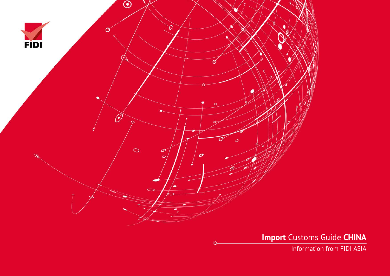

**Import** Customs Guide **CHINA**

Information from FIDI ASIA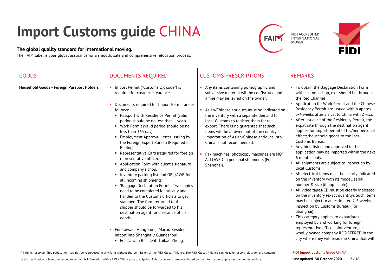# **Import Customs guide** CHINA

#### **The global quality standard for international moving.**

The FAIM label is your global assurance for a smooth, safe and comprehensive relocation process.





| <b>GOODS</b>                               | <b>DOCUMENTS REQUIRED</b>                                                                                                                                                                                                                                                                                                                                                                                                                                                                                                                                                                                                                                                                                                                                                                                                                                                                                                                                                                        | <b>CUSTOMS PRESCRIPTIONS</b>                                                                                                                                                                                                                                                                                                                                                                                                                                                                                                          | <b>REMARKS</b>                                                                                                                                                                                                                                                                                                                                                                                                                                                                                                                                                                                                                                                                                                                                                                                                                                                                                                                                                                                                                                                                                                                                                                              |
|--------------------------------------------|--------------------------------------------------------------------------------------------------------------------------------------------------------------------------------------------------------------------------------------------------------------------------------------------------------------------------------------------------------------------------------------------------------------------------------------------------------------------------------------------------------------------------------------------------------------------------------------------------------------------------------------------------------------------------------------------------------------------------------------------------------------------------------------------------------------------------------------------------------------------------------------------------------------------------------------------------------------------------------------------------|---------------------------------------------------------------------------------------------------------------------------------------------------------------------------------------------------------------------------------------------------------------------------------------------------------------------------------------------------------------------------------------------------------------------------------------------------------------------------------------------------------------------------------------|---------------------------------------------------------------------------------------------------------------------------------------------------------------------------------------------------------------------------------------------------------------------------------------------------------------------------------------------------------------------------------------------------------------------------------------------------------------------------------------------------------------------------------------------------------------------------------------------------------------------------------------------------------------------------------------------------------------------------------------------------------------------------------------------------------------------------------------------------------------------------------------------------------------------------------------------------------------------------------------------------------------------------------------------------------------------------------------------------------------------------------------------------------------------------------------------|
| Household Goods - Foreign Passport Holders | Import Permit ("Customs QR code") is<br>required for customs clearance.<br>Documents required for Import Permit are as<br>follows:<br>• Passport with Residence Permit (valid<br>period should be no less than 1 year).<br>• Work Permit (valid period should be no<br>less than 365 day).<br>Employment Approval Letter issuing by<br>the Foreign Expert Bureau (Required in<br>Beijing).<br>• Representative Card (required for foreign<br>representative office).<br>Application Form with client's signature<br>and company's chop.<br>• Inventory packing list and OBL/AWB for<br>all incoming shipments.<br>'Baggage Declaration Form' - Two copies<br>need to be completed identically and<br>handed to the Customs officials to get<br>stamped. The form returned to the<br>shipper should be forwarded to his<br>destination agent for clearance of his<br>goods.<br>For Taiwan, Hong Kong, Macau Resident<br>import into Shanghai / Guangzhou:<br>• For Taiwan Resident: Taibao Zheng, | • Any items containing pornographic and<br>subversive material will be confiscated and<br>a fine may be levied on the owner.<br>Asian/Chinese antiques must be indicated on<br>the inventory with a separate demand to<br>local Customs to register them for re-<br>export. There is no guarantee that such<br>items will be allowed out of the country.<br>Importation of Asian/Chinese antiques into<br>China is not recommended.<br>• Fax machines, photocopy machines are NOT<br>ALLOWED in personal shipments (For<br>Shanghai). | • To obtain the Baggage Declaration Form<br>with customs chop, exit should be through<br>the Red Channel<br>Application for Work Permit and the Chinese<br>Residency Permit are issued within approx.<br>3-4 weeks after arrival to China with Z visa.<br>After issuance of the Residency Permit, the<br>expatriate through the destination agent<br>applies for import permit of his/her personal<br>effects/household goods to the local<br>Customs Bureau.<br>Anything listed and approved in the<br>application may be imported within the next<br>6 months only.<br>All shipments are subject to inspection by<br>local Customs.<br>All electrical items must be clearly indicated<br>on the inventory with its model, serial<br>number & size (if applicable).<br>All video tapes/CD must be clearly indicated<br>on the inventory (exact quantity). Such items<br>may be subject to an estimated 2-3 weeks<br>inspection by Customs Bureau (For<br>Shanghai).<br>This category applies to expatriates<br>employed by and working for foreign<br>representative office, joint venture, or<br>wholly owned company REGISTERED in the<br>city where they will reside in China that will |

#### **FIDI Import** Customs Guide CHINA

of this publication. It is recommended to verify this information with a FIDI Affiliate prior to shipping. This document is produced based on the information supplied at the mentioned date.

All rights reserved. This publication may not be reproduced in any form without the permission of the FIDI Global Alliance. The FIDI Global Alliance cannot take responsibility for the contents

**Last updated 30 October 2020** 2 / 16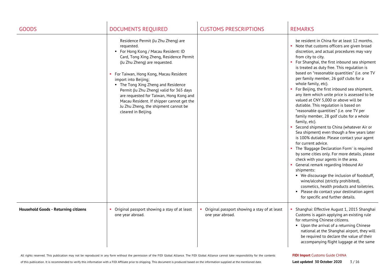| <b>GOODS</b>                                | <b>DOCUMENTS REQUIRED</b>                                                                                                                                                                                                                                                                                                                                                                                                                                                          | <b>CUSTOMS PRESCRIPTIONS</b>                                     | <b>REMARKS</b>                                                                                                                                                                                                                                                                                                                                                                                                                                                                                                                                                                                                                                                                                                                                                                                                                                                                                                                                                                                                                                                                                                                                                                                                                                                     |
|---------------------------------------------|------------------------------------------------------------------------------------------------------------------------------------------------------------------------------------------------------------------------------------------------------------------------------------------------------------------------------------------------------------------------------------------------------------------------------------------------------------------------------------|------------------------------------------------------------------|--------------------------------------------------------------------------------------------------------------------------------------------------------------------------------------------------------------------------------------------------------------------------------------------------------------------------------------------------------------------------------------------------------------------------------------------------------------------------------------------------------------------------------------------------------------------------------------------------------------------------------------------------------------------------------------------------------------------------------------------------------------------------------------------------------------------------------------------------------------------------------------------------------------------------------------------------------------------------------------------------------------------------------------------------------------------------------------------------------------------------------------------------------------------------------------------------------------------------------------------------------------------|
|                                             | Residence Permit (Ju Zhu Zheng) are<br>requested.<br>• For Hong Kong / Macau Resident: ID<br>Card, Tong Xing Zheng, Residence Permit<br>(Ju Zhu Zheng) are requested.<br>• For Taiwan, Hong Kong, Macau Resident<br>import into Beijing;<br>• The Tong Xing Zheng and Residence<br>Permit (Ju Zhu Zheng) valid for 365 days<br>are requested for Taiwan, Hong Kong and<br>Macau Resident. If shipper cannot get the<br>Ju Zhu Zheng, the shipment cannot be<br>cleared in Beijing. |                                                                  | be resident in China for at least 12 months.<br>• Note that customs officers are given broad<br>discretion, and actual procedures may vary<br>from city to city.<br>For Shanghai, the first inbound sea shipment<br>is treated as duty free. This regulation is<br>based on "reasonable quantities" (i.e. one TV<br>per family member, 26 golf clubs for a<br>whole family, etc).<br>For Beijing, the first inbound sea shipment,<br>any item which unite price is assessed to be<br>valued at CNY 5,000 or above will be<br>dutiable. This regulation is based on<br>"reasonable quantities" (i.e. one TV per<br>family member, 28 golf clubs for a whole<br>family, etc).<br>Second shipment to China (whatever Air or<br>Sea shipment) even though a few years later<br>is 100% dutiable. Please contact your agent<br>for current advice.<br>The 'Baggage Declaration Form' is required<br>by some cities only. For more details, please<br>check with your agents in the area.<br>• General remark regarding Inbound Air<br>shipments:<br>• We discourage the inclusion of foodstuff,<br>wine/alcohol (strictly prohibited),<br>cosmetics, health products and toiletries.<br>• Please do contact your destination agent<br>for specific and further details. |
| <b>Household Goods - Returning citizens</b> | Original passport showing a stay of at least<br>one year abroad.                                                                                                                                                                                                                                                                                                                                                                                                                   | Original passport showing a stay of at least<br>one year abroad. | Shanghai: Effective August 1, 2015 Shanghai<br>Customs is again applying an existing rule<br>for returning Chinese citizens.<br>• Upon the arrival of a returning Chinese<br>national at the Shanghai airport, they will<br>be required to declare the value of their<br>accompanying flight luggage at the same                                                                                                                                                                                                                                                                                                                                                                                                                                                                                                                                                                                                                                                                                                                                                                                                                                                                                                                                                   |

of this publication. It is recommended to verify this information with a FIDI Affiliate prior to shipping. This document is produced based on the information supplied at the mentioned date.

#### **FIDI Import** Customs Guide CHINA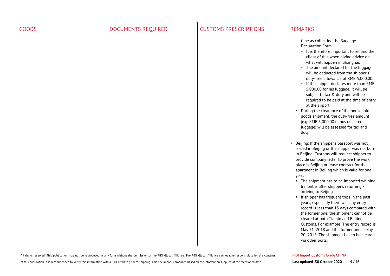| <b>GOODS</b> | <b>DOCUMENTS REQUIRED</b> | <b>CUSTOMS PRESCRIPTIONS</b> | <b>REMARKS</b>                                                                                                                                                                                                                                                                                                                                                                                                                                                                                                                                                                                                                                                                                                                                                                                                                                                                                                                                                                                                                                                                                                                                                                                                                                                                                                                                                                                                                                           |
|--------------|---------------------------|------------------------------|----------------------------------------------------------------------------------------------------------------------------------------------------------------------------------------------------------------------------------------------------------------------------------------------------------------------------------------------------------------------------------------------------------------------------------------------------------------------------------------------------------------------------------------------------------------------------------------------------------------------------------------------------------------------------------------------------------------------------------------------------------------------------------------------------------------------------------------------------------------------------------------------------------------------------------------------------------------------------------------------------------------------------------------------------------------------------------------------------------------------------------------------------------------------------------------------------------------------------------------------------------------------------------------------------------------------------------------------------------------------------------------------------------------------------------------------------------|
|              |                           |                              | time as collecting the Baggage<br>Declaration Form.<br>It is therefore important to remind the<br>client of this when giving advice on<br>what will happen in Shanghai.<br>" The amount declared for the luggage<br>will be deducted from the shipper's<br>duty-free allowance of RMB 5,000.00.<br>If the shipper declares more than RMB<br>5,000.00 for his luggage, it will be<br>subject to tax & duty and will be<br>required to be paid at the time of entry<br>at the airport.<br>• During the clearance of the household<br>goods shipment, the duty-free amount<br>(e.g. RMB 5,000.00 minus declared<br>luggage) will be assessed for tax and<br>duty.<br>Beijing: If the shipper's passport was not<br>issued in Beijing or the shipper was not born<br>in Beijing, Customs will request shipper to<br>provide company letter to prove the work<br>place is Beijing or lease contract for the<br>apartment in Beijing which is valid for one<br>year.<br>• The shipment has to be imported whining<br>6 months after shipper's returning /<br>arriving to Beijing.<br>• If shipper has frequent trips in the past<br>years, especially there was any entry<br>record is less than 15 days compared with<br>the former one, the shipment cannot be<br>cleared at both Tianjin and Beijing<br>Customs. For example: The entry record is<br>May 31, 2018 and the former one is May<br>20, 2018. The shipment has to be cleared<br>via other ports. |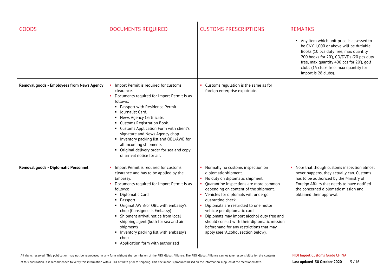| <b>GOODS</b>                               | <b>DOCUMENTS REQUIRED</b>                                                                                                                                                                                                                                                                                                                                                                                                                                                  | <b>CUSTOMS PRESCRIPTIONS</b>                                                                                                                                                                                                                                                                                                                                                                                                                                                                          | <b>REMARKS</b>                                                                                                                                                                                                                                                                          |
|--------------------------------------------|----------------------------------------------------------------------------------------------------------------------------------------------------------------------------------------------------------------------------------------------------------------------------------------------------------------------------------------------------------------------------------------------------------------------------------------------------------------------------|-------------------------------------------------------------------------------------------------------------------------------------------------------------------------------------------------------------------------------------------------------------------------------------------------------------------------------------------------------------------------------------------------------------------------------------------------------------------------------------------------------|-----------------------------------------------------------------------------------------------------------------------------------------------------------------------------------------------------------------------------------------------------------------------------------------|
|                                            |                                                                                                                                                                                                                                                                                                                                                                                                                                                                            |                                                                                                                                                                                                                                                                                                                                                                                                                                                                                                       | Any item which unit price is assessed to<br>be CNY 1,000 or above will be dutiable.<br>Books (10 pcs duty free, max quantity<br>200 books for 20'), CD/DVDs (20 pcs duty<br>free, max quantity 400 pcs for 20'), golf<br>clubs (15 clubs free, max quantity for<br>import is 28 clubs). |
| Removal goods - Employees from News Agency | • Import Permit is required for customs<br>clearance.<br>• Documents required for Import Permit is as<br>follows:<br>• Passport with Residence Permit.<br>• Journalist Card.<br>• News Agency Certificate.<br>• Customs Registration Book.<br>• Customs Application Form with client's<br>signature and News Agency chop<br>• Inventory packing list and OBL/AWB for<br>all incoming shipments<br>• Original delivery order for sea and copy<br>of arrival notice for air. | Customs regulation is the same as for<br>foreign enterprise expatriate.                                                                                                                                                                                                                                                                                                                                                                                                                               |                                                                                                                                                                                                                                                                                         |
| Removal goods - Diplomatic Personnel       | Import Permit is required for customs<br>clearance and has to be applied by the<br>Embassy.<br>Documents required for Import Permit is as<br>follows:<br>• Diplomatic Card<br>• Passport<br>• Original AW B/or OBL with embassy's<br>chop (Consignee is Embassy)<br>• Shipment arrival notice from local<br>shipping agent (both for sea and air<br>shipment)<br>• Inventory packing list with embassy's<br>chop<br>• Application form with authorized                     | Normally no customs inspection on<br>diplomatic shipment.<br>No duty on diplomatic shipment.<br>Quarantine inspections are more common<br>depending on content of the shipment.<br>Vehicles for diplomats will undergo<br>quarantine check.<br>Diplomats are restricted to one motor<br>vehicle per diplomatic card.<br>Diplomats may import alcohol duty free and<br>should consult with their diplomatic mission<br>beforehand for any restrictions that may<br>apply (see 'Alcohol section below). | Note that though customs inspection almost<br>never happens, they actually can. Customs<br>has to be authorized by the Ministry of<br>Foreign Affairs that needs to have notified<br>the concerned diplomatic mission and<br>obtained their approval.                                   |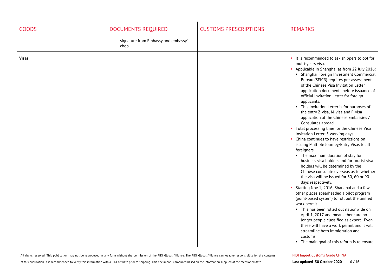| <b>GOODS</b> | <b>DOCUMENTS REQUIRED</b>                     | <b>CUSTOMS PRESCRIPTIONS</b> | <b>REMARKS</b>                                                                                                                                                                                                                                                                                                                                                                                                                                                                                                                                                                                                                                                                                                                                                                                                                                                                                                                                                                                                                                                                                                                                                                                                                                                                                                                                |
|--------------|-----------------------------------------------|------------------------------|-----------------------------------------------------------------------------------------------------------------------------------------------------------------------------------------------------------------------------------------------------------------------------------------------------------------------------------------------------------------------------------------------------------------------------------------------------------------------------------------------------------------------------------------------------------------------------------------------------------------------------------------------------------------------------------------------------------------------------------------------------------------------------------------------------------------------------------------------------------------------------------------------------------------------------------------------------------------------------------------------------------------------------------------------------------------------------------------------------------------------------------------------------------------------------------------------------------------------------------------------------------------------------------------------------------------------------------------------|
|              | signature from Embassy and embassy's<br>chop. |                              |                                                                                                                                                                                                                                                                                                                                                                                                                                                                                                                                                                                                                                                                                                                                                                                                                                                                                                                                                                                                                                                                                                                                                                                                                                                                                                                                               |
| <b>Visas</b> |                                               |                              | • It is recommended to ask shippers to opt for<br>multi-years visa.<br>• Applicable in Shanghai as from 22 July 2016:<br>• Shanghai Foreign Investment Commercial<br>Bureau (SFICB) requires pre-assessment<br>of the Chinese Visa Invitation Letter<br>application documents before issuance of<br>official Invitation Letter for foreign<br>applicants.<br>• This Invitation Letter is for purposes of<br>the entry Z-visa, M-visa and F-visa<br>application at the Chinese Embassies /<br>Consulates abroad.<br>• Total processing time for the Chinese Visa<br>Invitation Letter: 5 working days.<br>• China continues to have restrictions on<br>issuing Multiple Journey/Entry Visas to all<br>foreigners.<br>• The maximum duration of stay for<br>business visa holders and for tourist visa<br>holders will be determined by the<br>Chinese consulate overseas as to whether<br>the visa will be issued for 30, 60 or 90<br>days respectively.<br>• Starting Nov 1, 2016, Shanghai and a few<br>other places spearheaded a pilot program<br>(point-based system) to roll out the unified<br>work permit.<br>" This has been rolled out nationwide on<br>April 1, 2017 and means there are no<br>longer people classified as expert. Even<br>these will have a work permit and it will<br>streamline both immigration and<br>customs. |
|              |                                               |                              | • The main goal of this reform is to ensure                                                                                                                                                                                                                                                                                                                                                                                                                                                                                                                                                                                                                                                                                                                                                                                                                                                                                                                                                                                                                                                                                                                                                                                                                                                                                                   |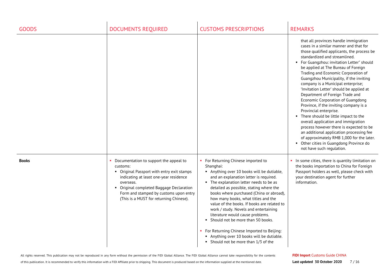| <b>GOODS</b> | <b>DOCUMENTS REQUIRED</b>                                                                                                                                                                                                                                                                | <b>CUSTOMS PRESCRIPTIONS</b>                                                                                                                                                                                                                                                                                                                                                                                                                                                                                                                                                                                       | <b>REMARKS</b>                                                                                                                                                                                                                                                                                                                                                                                                                                                                                                                                                                                                                                                                                                                                                                                                                                                   |
|--------------|------------------------------------------------------------------------------------------------------------------------------------------------------------------------------------------------------------------------------------------------------------------------------------------|--------------------------------------------------------------------------------------------------------------------------------------------------------------------------------------------------------------------------------------------------------------------------------------------------------------------------------------------------------------------------------------------------------------------------------------------------------------------------------------------------------------------------------------------------------------------------------------------------------------------|------------------------------------------------------------------------------------------------------------------------------------------------------------------------------------------------------------------------------------------------------------------------------------------------------------------------------------------------------------------------------------------------------------------------------------------------------------------------------------------------------------------------------------------------------------------------------------------------------------------------------------------------------------------------------------------------------------------------------------------------------------------------------------------------------------------------------------------------------------------|
|              |                                                                                                                                                                                                                                                                                          |                                                                                                                                                                                                                                                                                                                                                                                                                                                                                                                                                                                                                    | that all provinces handle immigration<br>cases in a similar manner and that for<br>those qualified applicants, the process be<br>standardized and streamlined.<br>• For Guangzhou: invitation Letter" should<br>be applied at The Bureau of Foreign<br>Trading and Economic Corporation of<br>Guangzhou Municipality, if the inviting<br>company is a Municipal enterprise;<br>'Invitation Letter' should be applied at<br>Department of Foreign Trade and<br>Economic Corporation of Guangdong<br>Province, if the inviting company is a<br>Provincial enterprise.<br>• There should be little impact to the<br>overall application and immigration<br>process however there is expected to be<br>an additional application processing fee<br>of approximately RMB 1,000 for the later.<br>• Other cities in Guangdong Province do<br>not have such regulation. |
| <b>Books</b> | Documentation to support the appeal to<br>customs:<br>• Original Passport with entry exit stamps<br>indicating at least one-year residence<br>overseas.<br>• Original completed Baggage Declaration<br>Form and stamped by customs upon entry<br>(This is a MUST for returning Chinese). | For Returning Chinese imported to<br>Shanghai:<br>Anything over 10 books will be dutiable,<br>and an explanation letter is required.<br>• The explanation letter needs to be as<br>detailed as possible, stating where the<br>books where purchased (China or abroad),<br>how many books, what titles and the<br>value of the books. If books are related to<br>work / study. Novels and entertaining<br>literature would cause problems.<br>• Should not be more than 50 books.<br>For Returning Chinese Imported to Beijing:<br>Anything over 10 books will be dutiable.<br>• Should not be more than 1/3 of the | In some cities, there is quantity limitation on<br>the books importation to China for Foreign<br>Passport holders as well, please check with<br>your destination agent for further<br>information.                                                                                                                                                                                                                                                                                                                                                                                                                                                                                                                                                                                                                                                               |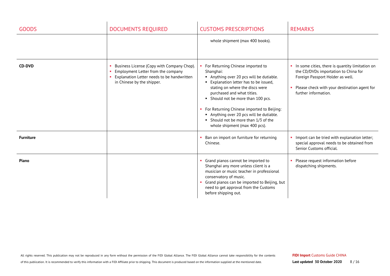| <b>GOODS</b>     | <b>DOCUMENTS REQUIRED</b>                                                                                                                                    | <b>CUSTOMS PRESCRIPTIONS</b>                                                                                                                                                                                                                                                                                                                                                                               | <b>REMARKS</b>                                                                                                                                                                                             |
|------------------|--------------------------------------------------------------------------------------------------------------------------------------------------------------|------------------------------------------------------------------------------------------------------------------------------------------------------------------------------------------------------------------------------------------------------------------------------------------------------------------------------------------------------------------------------------------------------------|------------------------------------------------------------------------------------------------------------------------------------------------------------------------------------------------------------|
|                  |                                                                                                                                                              | whole shipment (max 400 books).                                                                                                                                                                                                                                                                                                                                                                            |                                                                                                                                                                                                            |
| <b>CD-DVD</b>    | Business License (Copy with Company Chop).<br>Employment Letter from the company<br>Explanation Letter needs to be handwritten<br>in Chinese by the shipper. | For Returning Chinese imported to<br>Shanghai:<br>Anything over 20 pcs will be dutiable.<br>Explanation letter has to be issued,<br>stating on where the discs were<br>purchased and what titles.<br>• Should not be more than 100 pcs.<br>• For Returning Chinese imported to Beijing:<br>Anything over 20 pcs will be dutiable.<br>• Should not be more than 1/3 of the<br>whole shipment (max 400 pcs). | • In some cities, there is quantity limitation on<br>the CD/DVDs importation to China for<br>Foreign Passport Holder as well.<br>Please check with your destination agent for<br>٠<br>further information. |
| <b>Furniture</b> |                                                                                                                                                              | Ban on import on furniture for returning<br>Chinese.                                                                                                                                                                                                                                                                                                                                                       | • Import can be tried with explanation letter;<br>special approval needs to be obtained from<br>Senior Customs official.                                                                                   |
| Piano            |                                                                                                                                                              | Grand pianos cannot be imported to<br>Shanghai any more unless client is a<br>musician or music teacher in professional<br>conservatory of music.<br>Grand pianos can be imported to Beijing, but<br>need to get approval from the Customs<br>before shipping out.                                                                                                                                         | Please request information before<br>dispatching shipments.                                                                                                                                                |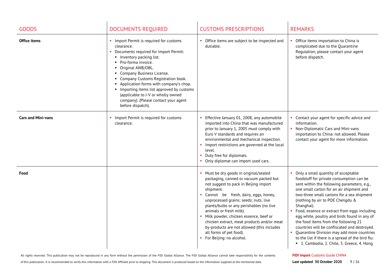| <b>GOODS</b>              | <b>DOCUMENTS REQUIRED</b>                                                                                                                                                                                                                                                                                                                                                                                                                  | <b>CUSTOMS PRESCRIPTIONS</b>                                                                                                                                                                                                                                                                                                                                                                                                                                                             | <b>REMARKS</b>                                                                                                                                                                                                                                                                                                                                                                                                                                                                                                                                                                                                         |
|---------------------------|--------------------------------------------------------------------------------------------------------------------------------------------------------------------------------------------------------------------------------------------------------------------------------------------------------------------------------------------------------------------------------------------------------------------------------------------|------------------------------------------------------------------------------------------------------------------------------------------------------------------------------------------------------------------------------------------------------------------------------------------------------------------------------------------------------------------------------------------------------------------------------------------------------------------------------------------|------------------------------------------------------------------------------------------------------------------------------------------------------------------------------------------------------------------------------------------------------------------------------------------------------------------------------------------------------------------------------------------------------------------------------------------------------------------------------------------------------------------------------------------------------------------------------------------------------------------------|
| Office items              | • Import Permit is required for customs<br>clearance.<br>Documents required for Import Permit:<br>• Inventory packing list.<br>• Pro-forma invoice.<br>• Original AWB/OBL.<br>• Company Business License.<br>• Company Customs Registration book.<br>Application forms with company's chop.<br>Importing items list approved by customs<br>(applicable to J-V or wholly owned<br>company). (Please contact your agent<br>before dispatch). | • Office items are subject to be inspected and<br>dutiable.                                                                                                                                                                                                                                                                                                                                                                                                                              | Office items importation to China is<br>complicated due to the Quarantine<br>Regulation; please contact your agent<br>before dispatch.                                                                                                                                                                                                                                                                                                                                                                                                                                                                                 |
| <b>Cars and Mini-vans</b> | Import Permit is required for customs<br>clearance.                                                                                                                                                                                                                                                                                                                                                                                        | Effective January 01, 2008, any automobile<br>imported into China that was manufactured<br>prior to January 1, 2005 must comply with<br>Euro V standards and requires an<br>environmental and mechanical inspection.<br>Import restrictions are governed at the local<br>level.<br>Duty free for diplomats.<br>Only diplomat can import used cars.                                                                                                                                       | • Contact your agent for specific advice and<br>information.<br>• Non-Diplomatic Cars and Mini-vans<br>importation to China: not allowed. Please<br>contact your agent for more information.                                                                                                                                                                                                                                                                                                                                                                                                                           |
| Food                      |                                                                                                                                                                                                                                                                                                                                                                                                                                            | Must be dry goods in original/sealed<br>packaging, canned or vacuum packed but<br>not suggest to pack in Beijing import<br>shipment.<br>Cannot be fresh, dairy, eggs, honey,<br>unprocessed grains; seeds; nuts, live<br>plants/bulbs or any perishables (no live<br>animals or fresh milk).<br>Milk powder, chicken essence, beef or<br>chicken extract, meat products and/or meat<br>by-products are not allowed (this includes<br>all forms of pet food).<br>For Beijing: no alcohol. | Only a small quantity of acceptable<br>foodstuff for private consumption can be<br>sent within the following parameters, e.g.,<br>one small carton for an air shipment and<br>two-three small cartons for a sea shipment<br>(nothing by air to POE Chengdu &<br>Shanghai).<br>Food, essence or extract from eggs including<br>egg white, poultry and birds found in any of<br>the food items from the following 21<br>countries will be confiscated and destroyed.<br>• Quarantine Division may add more countries<br>to the list if there is a spread of the bird flu:<br>" 1. Cambodia, 2. Chile, 3. Greece, 4. Hong |

of this publication. It is recommended to verify this information with a FIDI Affiliate prior to shipping. This document is produced based on the information supplied at the mentioned date.

### **FIDI Import** Customs Guide CHINA

**Last updated 30 October 2020** 9/16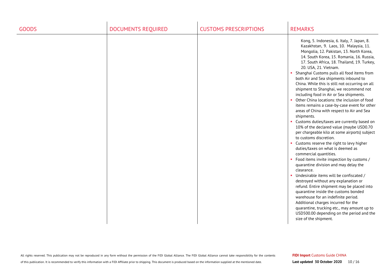| <b>GOODS</b> | <b>DOCUMENTS REQUIRED</b> | <b>CUSTOMS PRESCRIPTIONS</b> | <b>REMARKS</b>                                                                                                                                                                                                                                                                                                                                                                                                                                                                                                                                                                                                                                                                                                                                                                                                                                                                                                                                                                                                                                                                                                                                                                                                                                                                                                                                                                                                                    |
|--------------|---------------------------|------------------------------|-----------------------------------------------------------------------------------------------------------------------------------------------------------------------------------------------------------------------------------------------------------------------------------------------------------------------------------------------------------------------------------------------------------------------------------------------------------------------------------------------------------------------------------------------------------------------------------------------------------------------------------------------------------------------------------------------------------------------------------------------------------------------------------------------------------------------------------------------------------------------------------------------------------------------------------------------------------------------------------------------------------------------------------------------------------------------------------------------------------------------------------------------------------------------------------------------------------------------------------------------------------------------------------------------------------------------------------------------------------------------------------------------------------------------------------|
|              |                           |                              | Kong, 5. Indonesia, 6. Italy, 7. Japan, 8.<br>Kazakhstan, 9. Laos, 10. Malaysia, 11.<br>Mongolia, 12. Pakistan, 13. North Korea,<br>14. South Korea, 15. Romania, 16. Russia,<br>17. South Africa, 18. Thailand, 19. Turkey,<br>20. USA, 21. Vietnam.<br>• Shanghai Customs pulls all food items from<br>both Air and Sea shipments inbound to<br>China. While this is still not occurring on all<br>shipment to Shanghai, we recommend not<br>including food in Air or Sea shipments.<br>Other China locations: the inclusion of food<br>×.<br>items remains a case-by-case event for other<br>areas of China with respect to Air and Sea<br>shipments.<br>• Customs duties/taxes are currently based on<br>10% of the declared value (maybe USD0.70<br>per chargeable kilo at some airports) subject<br>to customs discretion.<br>• Customs reserve the right to levy higher<br>duties/taxes on what is deemed as<br>commercial quantities.<br>• Food items invite inspection by customs /<br>quarantine division and may delay the<br>clearance.<br>• Undesirable items will be confiscated /<br>destroyed without any explanation or<br>refund. Entire shipment may be placed into<br>quarantine inside the customs bonded<br>warehouse for an indefinite period.<br>Additional charges incurred for the<br>quarantine, trucking etc., may amount up to<br>USD500.00 depending on the period and the<br>size of the shipment. |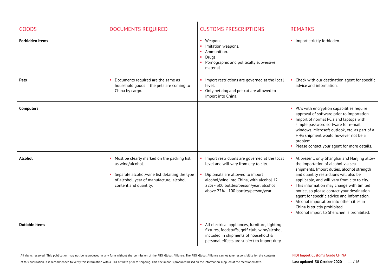| <b>GOODS</b>           | <b>DOCUMENTS REQUIRED</b>                                                                                                                                                              | <b>CUSTOMS PRESCRIPTIONS</b>                                                                                                                                                                                                                              | <b>REMARKS</b>                                                                                                                                                                                                                                                                                                                                                                                                                                                                                    |
|------------------------|----------------------------------------------------------------------------------------------------------------------------------------------------------------------------------------|-----------------------------------------------------------------------------------------------------------------------------------------------------------------------------------------------------------------------------------------------------------|---------------------------------------------------------------------------------------------------------------------------------------------------------------------------------------------------------------------------------------------------------------------------------------------------------------------------------------------------------------------------------------------------------------------------------------------------------------------------------------------------|
| <b>Forbidden Items</b> |                                                                                                                                                                                        | • Weapons.<br>• Imitation weapons.<br>• Ammunition.<br>• Drugs.<br>• Pornographic and politically subversive<br>material.                                                                                                                                 | • Import strictly forbidden.                                                                                                                                                                                                                                                                                                                                                                                                                                                                      |
| <b>Pets</b>            | Documents required are the same as<br>household goods if the pets are coming to<br>China by cargo.                                                                                     | Import restrictions are governed at the local<br>level.<br>• Only pet dog and pet cat are allowed to<br>import into China.                                                                                                                                | Check with our destination agent for specific<br>$\mathbf{r}$<br>advice and information.                                                                                                                                                                                                                                                                                                                                                                                                          |
| <b>Computers</b>       |                                                                                                                                                                                        |                                                                                                                                                                                                                                                           | PC's with encryption capabilities require<br>approval of software prior to importation.<br>Import of normal PC's and laptops with<br>$\mathbf{r}$<br>simple password software for e-mail,<br>windows, Microsoft outlook, etc. as part of a<br>HHG shipment would however not be a<br>problem.<br>Please contact your agent for more details.                                                                                                                                                      |
| <b>Alcohol</b>         | • Must be clearly marked on the packing list<br>as wine/alcohol.<br>Separate alcohol/wine list detailing the type<br>of alcohol, year of manufacture, alcohol<br>content and quantity. | Import restrictions are governed at the local<br>level and will vary from city to city.<br>Diplomats are allowed to import<br>alcohol/wine into China, with alcohol 12-<br>22% - 300 bottles/person/year; alcohol<br>above 22% - 100 bottles/person/year. | At present, only Shanghai and Nanjing allow<br>the importation of alcohol via sea<br>shipments. Import duties, alcohol strength<br>and quantity restrictions will also be<br>applicable, and will vary from city to city.<br>• This information may change with limited<br>notice, so please contact your destination<br>agent for specific advice and information.<br>• Alcohol importation into other cities in<br>China is strictly prohibited.<br>• Alcohol import to Shenzhen is prohibited. |
| <b>Dutiable Items</b>  |                                                                                                                                                                                        | • All electrical appliances, furniture, lighting<br>fixtures, foodstuffs, golf club, wine/alcohol<br>included in shipments of household &<br>personal effects are subject to import duty.                                                                 |                                                                                                                                                                                                                                                                                                                                                                                                                                                                                                   |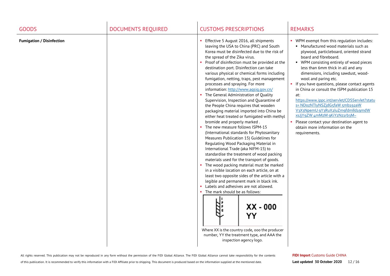| <b>GOODS</b>                     | <b>DOCUMENTS REQUIRED</b> | <b>CUSTOMS PRESCRIPTIONS</b>                                                                                                                                                                                                                                                                                                                                                                                                                                                                                                                                                                                                                                                                                                                                                                                                                                                                                                                                                                                                                                                                                                                                                                                                                                                                                                                                                                                                            | <b>REMARKS</b>                                                                                                                                                                                                                                                                                                                                                                                                                                                                                                                                                                                                                                                                  |
|----------------------------------|---------------------------|-----------------------------------------------------------------------------------------------------------------------------------------------------------------------------------------------------------------------------------------------------------------------------------------------------------------------------------------------------------------------------------------------------------------------------------------------------------------------------------------------------------------------------------------------------------------------------------------------------------------------------------------------------------------------------------------------------------------------------------------------------------------------------------------------------------------------------------------------------------------------------------------------------------------------------------------------------------------------------------------------------------------------------------------------------------------------------------------------------------------------------------------------------------------------------------------------------------------------------------------------------------------------------------------------------------------------------------------------------------------------------------------------------------------------------------------|---------------------------------------------------------------------------------------------------------------------------------------------------------------------------------------------------------------------------------------------------------------------------------------------------------------------------------------------------------------------------------------------------------------------------------------------------------------------------------------------------------------------------------------------------------------------------------------------------------------------------------------------------------------------------------|
| <b>Fumigation / Disinfection</b> |                           | Effective 5 August 2016, all shipments<br>leaving the USA to China (PRC) and South<br>Korea must be disinfected due to the risk of<br>the spread of the Zika virus.<br>Proof of disinfection must be provided at the<br>destination port. Disinfection can take<br>various physical or chemical forms including<br>fumigation, netting, traps, pest management<br>processes and spraying. For more<br>information: http://www.aqsiq.gov.cn/<br>• The General Administration of Quality<br>Supervision, Inspection and Quarantine of<br>the People China requires that wooden<br>packaging material imported into China be<br>either heat treated or fumigated with methyl<br>bromide and properly marked.<br>The new measure follows ISPM-15<br>(International standards for Phytosanitary<br>Measures Publication 15) Guidelines for<br>Regulating Wood Packaging Material in<br>International Trade (aka NIFM-15) to<br>standardise the treatment of wood packing<br>materials used for the transport of goods.<br>The wood packing material must be marked<br>in a visible location on each article, on at<br>least two opposite sides of the article with a<br>legible and permanent mark in black ink.<br>• Labels and adhesives are not allowed.<br>• The mark should be as follows:<br>XX - 000<br>YY<br>Where XX is the country code, ooo the producer<br>number, YY the treatment type, and AAA the<br>inspection agency logo. | • WPM exempt from this regulation includes:<br>• Manufactured wood materials such as<br>plywood, particleboard, oriented strand<br>board and fibreboard.<br>• WPM consisting entirely of wood pieces<br>less than 6mm thick in all and any<br>dimensions, including sawdust, wood-<br>wool and paring etc.<br>• If you have questions, please contact agents<br>in China or consult the ISPM publication 15<br>at:<br>https://www.ippc.int/servlet/CDSServlet?statu<br>s= NDozNTlyNSZjdG5faW 5mb192aW<br>V3X3NpemU 9Y3RuX2luZm9fdmlld19mdW<br>xsJjYqZW 4mMzM gKiYzNz1rb3M~<br>Please contact your destination agent to<br>×.<br>obtain more information on the<br>requirements. |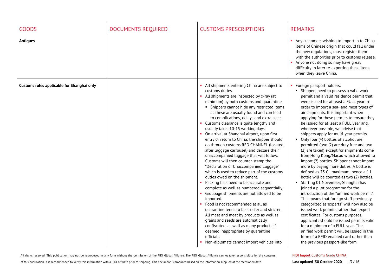| <b>GOODS</b>                               | <b>DOCUMENTS REQUIRED</b> | <b>CUSTOMS PRESCRIPTIONS</b>                                                                                                                                                                                                                                                                                                                                                                                                                                                                                                                                                                                                                                                                                                                                                                                                                                                                                                                                                                                                                                                                                                                                                                                                                                | <b>REMARKS</b>                                                                                                                                                                                                                                                                                                                                                                                                                                                                                                                                                                                                                                                                                                                                                                                                                                                                                                                                                                                                                                                                                                                                                                                                                                                                                    |
|--------------------------------------------|---------------------------|-------------------------------------------------------------------------------------------------------------------------------------------------------------------------------------------------------------------------------------------------------------------------------------------------------------------------------------------------------------------------------------------------------------------------------------------------------------------------------------------------------------------------------------------------------------------------------------------------------------------------------------------------------------------------------------------------------------------------------------------------------------------------------------------------------------------------------------------------------------------------------------------------------------------------------------------------------------------------------------------------------------------------------------------------------------------------------------------------------------------------------------------------------------------------------------------------------------------------------------------------------------|---------------------------------------------------------------------------------------------------------------------------------------------------------------------------------------------------------------------------------------------------------------------------------------------------------------------------------------------------------------------------------------------------------------------------------------------------------------------------------------------------------------------------------------------------------------------------------------------------------------------------------------------------------------------------------------------------------------------------------------------------------------------------------------------------------------------------------------------------------------------------------------------------------------------------------------------------------------------------------------------------------------------------------------------------------------------------------------------------------------------------------------------------------------------------------------------------------------------------------------------------------------------------------------------------|
| <b>Antiques</b>                            |                           |                                                                                                                                                                                                                                                                                                                                                                                                                                                                                                                                                                                                                                                                                                                                                                                                                                                                                                                                                                                                                                                                                                                                                                                                                                                             | Any customers wishing to import in to China<br>items of Chinese origin that could fall under<br>the new regulations, must register them<br>with the authorities prior to customs release.<br>Anyone not doing so may have great<br>×.<br>difficulty in later re-exporting these items<br>when they leave China.                                                                                                                                                                                                                                                                                                                                                                                                                                                                                                                                                                                                                                                                                                                                                                                                                                                                                                                                                                                   |
| Customs rules applicable for Shanghai only |                           | • All shipments entering China are subject to<br>customs duties.<br>• All shipments are inspected by x-ray (at<br>minimum) by both customs and quarantine.<br>• Shippers cannot hide any restricted items<br>as these are usually found and can lead<br>to complications, delays and extra costs.<br>• Customs clearance is quite lengthy and<br>usually takes 10-15 working days.<br>On arrival at Shanghai airport, upon first<br>entry or return to China, the shipper should<br>go through customs RED CHANNEL (located<br>after luggage carrousel) and declare their<br>unaccompanied luggage that will follow.<br>Customs will then counter-stamp the<br>"Declaration of Unaccompanied Luggage"<br>which is used to reduce part of the customs<br>duties owed on the shipment.<br>Packing lists need to be accurate and<br>complete as well as numbered sequentially.<br>• Groupage shipments are not allowed to be<br>imported.<br>Food is not recommended at all as<br>quarantine tends to be stricter and stricter.<br>All meat and meat by products as well as<br>grains and seeds are automatically<br>confiscated, as well as many products if<br>deemed inappropriate by quarantine<br>officials.<br>Non-diplomats cannot import vehicles into | • Foreign passport holders:<br>• Shippers need to possess a valid work<br>permit and a valid residence permit that<br>were issued for at least a FULL year in<br>order to import a sea- and most types of<br>air shipments. It is important when<br>applying for these permits to ensure they<br>be issued for at least a FULL year and,<br>wherever possible, we advise that<br>shippers apply for multi-year permits.<br>• Only four (4) bottles of alcohol are<br>permitted (two (2) are duty free and two<br>(2) are taxed) except for shipments come<br>from Hong Kong/Macau which allowed to<br>import (2) bottles. Shipper cannot import<br>more by paying more duties. A bottle is<br>defined as 75 CL maximum; hence a 1 L<br>bottle will be counted as two (2) bottles.<br>Starting 01 November, Shanghai has<br>joined a pilot programme for the<br>introduction of the "unified work permit".<br>This means that foreign staff previously<br>categorized as "experts" will now also be<br>issued work permits rather than expert<br>certificates. For customs purposes,<br>applicants should be issued permits valid<br>for a minimum of a FULL year. The<br>unified work permit will be issued in the<br>form of a RFID enabled card rather than<br>the previous passport-like form. |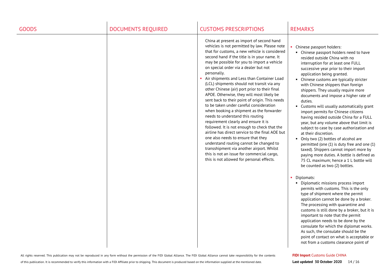| <b>GOODS</b> | <b>DOCUMENTS REQUIRED</b> | <b>CUSTOMS PRESCRIPTIONS</b>                                                                                                                                                                                                                                                                                                                                                                                                                                                                                                                                                                                                                                                                                                                                                                                                                                                                                                                                                                                                                  | <b>REMARKS</b>                                                                                                                                                                                                                                                                                                                                                                                                                                                                                                                                                                                                                                                                                                                                                                                                                                                                                                                                                                                                                                                                                                                                                                        |
|--------------|---------------------------|-----------------------------------------------------------------------------------------------------------------------------------------------------------------------------------------------------------------------------------------------------------------------------------------------------------------------------------------------------------------------------------------------------------------------------------------------------------------------------------------------------------------------------------------------------------------------------------------------------------------------------------------------------------------------------------------------------------------------------------------------------------------------------------------------------------------------------------------------------------------------------------------------------------------------------------------------------------------------------------------------------------------------------------------------|---------------------------------------------------------------------------------------------------------------------------------------------------------------------------------------------------------------------------------------------------------------------------------------------------------------------------------------------------------------------------------------------------------------------------------------------------------------------------------------------------------------------------------------------------------------------------------------------------------------------------------------------------------------------------------------------------------------------------------------------------------------------------------------------------------------------------------------------------------------------------------------------------------------------------------------------------------------------------------------------------------------------------------------------------------------------------------------------------------------------------------------------------------------------------------------|
|              |                           | China at present as import of second hand<br>vehicles is not permitted by law. Please note<br>that for customs, a new vehicle is considered<br>second hand if the title is in your name. It<br>may be possible for you to import a vehicle<br>on special order via a dealer but not<br>personally.<br>Air shipments and Less than Container Load<br>(LCL) shipments should not transit via any<br>other Chinese (air) port prior to their final<br>APOE. Otherwise, they will most likely be<br>sent back to their point of origin. This needs<br>to be taken under careful consideration<br>when booking a shipment as the forwarder<br>needs to understand this routing<br>requirement clearly and ensure it is<br>followed. It is not enough to check that the<br>airline has direct service to the final AOE but<br>one also needs to ensure that they<br>understand routing cannot be changed to<br>transshipment via another airport. Whilst<br>this is not an issue for commercial cargo,<br>this is not allowed for personal effects. | Chinese passport holders:<br>• Chinese passport holders need to have<br>resided outside China with no<br>interruption for at least one FULL<br>successive year prior to their import<br>application being granted.<br>Chinese customs are typically stricter<br>with Chinese shippers than foreign<br>shippers. They usually require more<br>documents and impose a higher rate of<br>duties.<br>• Customs will usually automatically grant<br>import permits for Chinese citizens<br>having resided outside China for a FULL<br>year, but any volume above that limit is<br>subject to case by case authorization and<br>at their discretion.<br>• Only two (2) bottles of alcohol are<br>permitted (one (1) is duty free and one (1)<br>taxed). Shippers cannot import more by<br>paying more duties. A bottle is defined as<br>75 CL maximum; hence a 1 L bottle will<br>be counted as two (2) bottles.<br>Diplomats:<br>×<br>• Diplomatic missions process import<br>permits with customs. This is the only<br>type of shipment where the permit<br>application cannot be done by a broker.<br>The processing with quarantine and<br>customs is still done by a broker, but it is |
|              |                           |                                                                                                                                                                                                                                                                                                                                                                                                                                                                                                                                                                                                                                                                                                                                                                                                                                                                                                                                                                                                                                               | important to note that the permit<br>application needs to be done by the<br>consulate for which the diplomat works.<br>As such, the consulate should be the<br>point of contact on what is acceptable or<br>not from a customs clearance point of                                                                                                                                                                                                                                                                                                                                                                                                                                                                                                                                                                                                                                                                                                                                                                                                                                                                                                                                     |

of this publication. It is recommended to verify this information with a FIDI Affiliate prior to shipping. This document is produced based on the information supplied at the mentioned date.

**FIDI Import** Customs Guide CHINA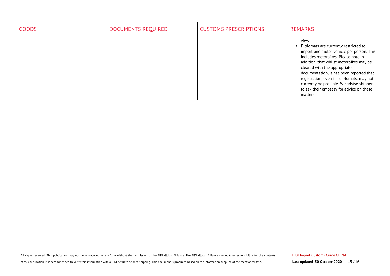| <b>GOODS</b> | DOCUMENTS REQUIRED | <b>CUSTOMS PRESCRIPTIONS</b> | <b>REMARKS</b>                                                                                                                                                                                                                                                                                                                                                                                              |
|--------------|--------------------|------------------------------|-------------------------------------------------------------------------------------------------------------------------------------------------------------------------------------------------------------------------------------------------------------------------------------------------------------------------------------------------------------------------------------------------------------|
|              |                    |                              | view.<br>Diplomats are currently restricted to<br>import one motor vehicle per person. This<br>includes motorbikes. Please note in<br>addition, that whilst motorbikes may be<br>cleared with the appropriate<br>documentation, it has been reported that<br>registration, even for diplomats, may not<br>currently be possible. We advise shippers<br>to ask their embassy for advice on these<br>matters. |